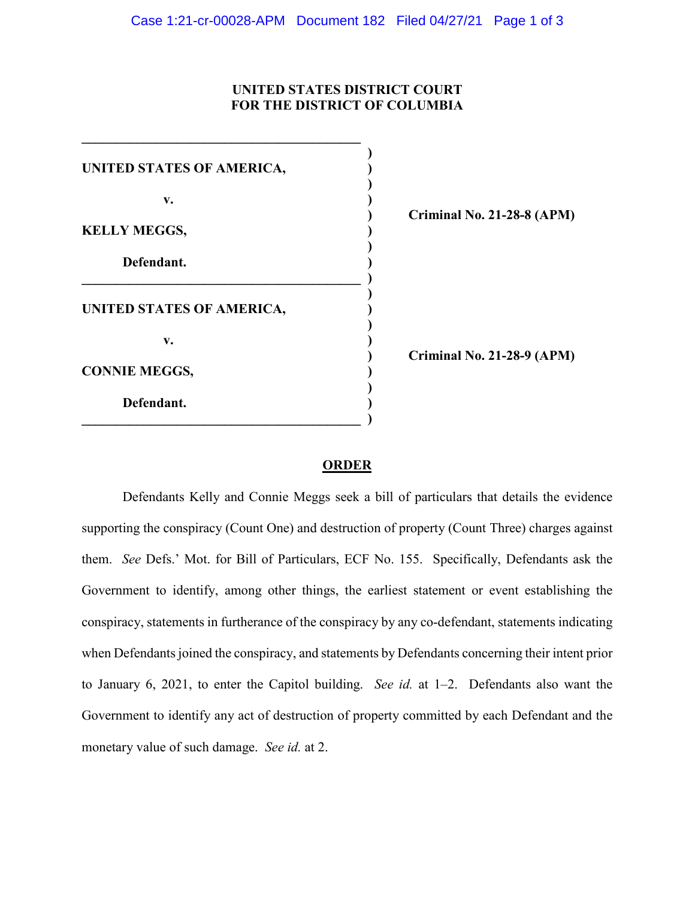## **UNITED STATES DISTRICT COURT FOR THE DISTRICT OF COLUMBIA**

| UNITED STATES OF AMERICA, |     |
|---------------------------|-----|
| v.                        |     |
| <b>KELLY MEGGS,</b>       | `ri |
| Defendant.                |     |
| UNITED STATES OF AMERICA, |     |
| $\mathbf{v}$ .            |     |
| <b>CONNIE MEGGS,</b>      | `ri |
| Defendant.                |     |

**) Criminal No. 21-28-8 (APM)**

**) Criminal No. 21-28-9 (APM)**

## **ORDER**

Defendants Kelly and Connie Meggs seek a bill of particulars that details the evidence supporting the conspiracy (Count One) and destruction of property (Count Three) charges against them. *See* Defs.' Mot. for Bill of Particulars, ECF No. 155. Specifically, Defendants ask the Government to identify, among other things, the earliest statement or event establishing the conspiracy, statements in furtherance of the conspiracy by any co-defendant, statements indicating when Defendants joined the conspiracy, and statements by Defendants concerning their intent prior to January 6, 2021, to enter the Capitol building. *See id.* at 1–2. Defendants also want the Government to identify any act of destruction of property committed by each Defendant and the monetary value of such damage. *See id.* at 2.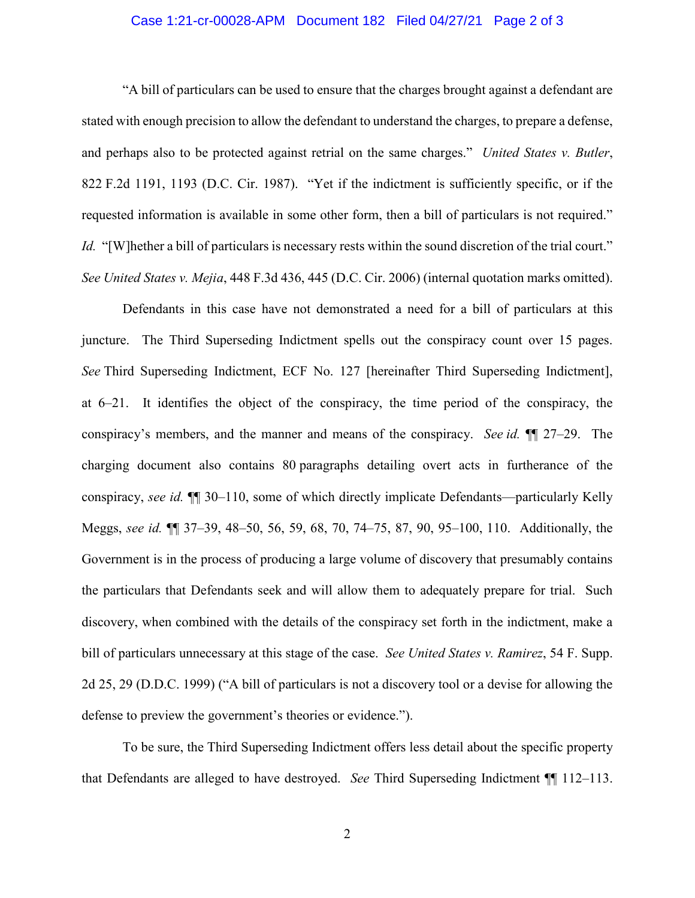## Case 1:21-cr-00028-APM Document 182 Filed 04/27/21 Page 2 of 3

"A bill of particulars can be used to ensure that the charges brought against a defendant are stated with enough precision to allow the defendant to understand the charges, to prepare a defense, and perhaps also to be protected against retrial on the same charges." *United States v. Butler*, 822 F.2d 1191, 1193 (D.C. Cir. 1987). "Yet if the indictment is sufficiently specific, or if the requested information is available in some other form, then a bill of particulars is not required." *Id.* "[W]hether a bill of particulars is necessary rests within the sound discretion of the trial court." *See United States v. Mejia*, 448 F.3d 436, 445 (D.C. Cir. 2006) (internal quotation marks omitted).

Defendants in this case have not demonstrated a need for a bill of particulars at this juncture. The Third Superseding Indictment spells out the conspiracy count over 15 pages. *See* Third Superseding Indictment, ECF No. 127 [hereinafter Third Superseding Indictment], at 6–21. It identifies the object of the conspiracy, the time period of the conspiracy, the conspiracy's members, and the manner and means of the conspiracy. *See id.* ¶¶ 27–29. The charging document also contains 80 paragraphs detailing overt acts in furtherance of the conspiracy, *see id.* ¶¶ 30–110, some of which directly implicate Defendants—particularly Kelly Meggs, *see id.* ¶¶ 37–39, 48–50, 56, 59, 68, 70, 74–75, 87, 90, 95–100, 110. Additionally, the Government is in the process of producing a large volume of discovery that presumably contains the particulars that Defendants seek and will allow them to adequately prepare for trial. Such discovery, when combined with the details of the conspiracy set forth in the indictment, make a bill of particulars unnecessary at this stage of the case. *See United States v. Ramirez*, 54 F. Supp. 2d 25, 29 (D.D.C. 1999) ("A bill of particulars is not a discovery tool or a devise for allowing the defense to preview the government's theories or evidence.").

To be sure, the Third Superseding Indictment offers less detail about the specific property that Defendants are alleged to have destroyed. *See* Third Superseding Indictment ¶¶ 112–113.